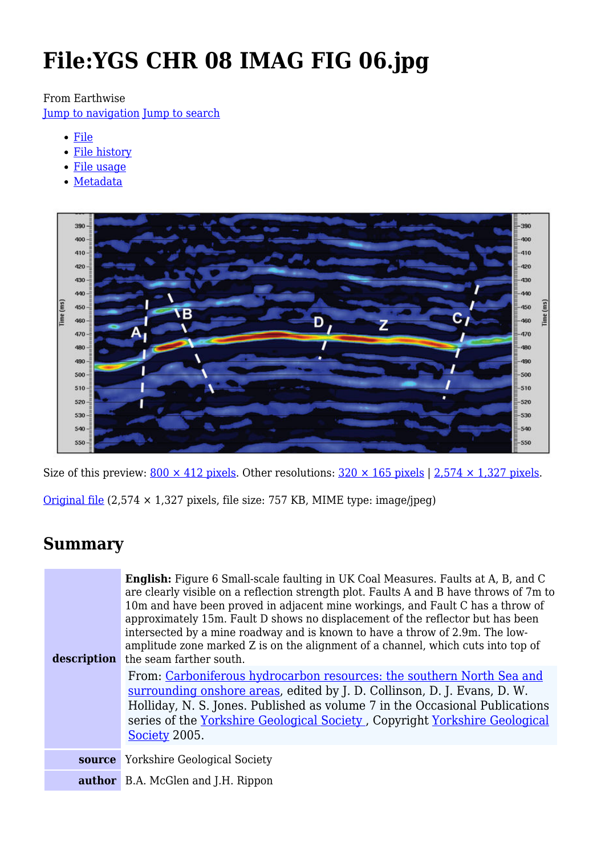# **File:YGS CHR 08 IMAG FIG 06.jpg**

From Earthwise

[Jump to navigation](#page--1-0) [Jump to search](#page--1-0)

- [File](#page--1-0)
- [File history](#page--1-0)
- [File usage](#page--1-0)
- [Metadata](#page--1-0)



Size of this preview:  $800 \times 412$  pixels. Other resolutions:  $320 \times 165$  pixels | 2,574  $\times$  1,327 pixels.

[Original file](http://earthwise.bgs.ac.uk/images/4/4b/YGS_CHR_08_IMAG_FIG_06.jpg) (2,574 × 1,327 pixels, file size: 757 KB, MIME type: image/jpeg)

# **Summary**

| description | <b>English:</b> Figure 6 Small-scale faulting in UK Coal Measures. Faults at A, B, and C<br>are clearly visible on a reflection strength plot. Faults A and B have throws of 7m to<br>10m and have been proved in adjacent mine workings, and Fault C has a throw of<br>approximately 15m. Fault D shows no displacement of the reflector but has been<br>intersected by a mine roadway and is known to have a throw of 2.9m. The low-<br>amplitude zone marked Z is on the alignment of a channel, which cuts into top of<br>the seam farther south. |
|-------------|-------------------------------------------------------------------------------------------------------------------------------------------------------------------------------------------------------------------------------------------------------------------------------------------------------------------------------------------------------------------------------------------------------------------------------------------------------------------------------------------------------------------------------------------------------|
|             | From: Carboniferous hydrocarbon resources: the southern North Sea and<br>surrounding onshore areas, edited by J. D. Collinson, D. J. Evans, D. W.<br>Holliday, N. S. Jones. Published as volume 7 in the Occasional Publications<br>series of the Yorkshire Geological Society, Copyright Yorkshire Geological<br>Society 2005.                                                                                                                                                                                                                       |
|             | <b>source</b> Yorkshire Geological Society                                                                                                                                                                                                                                                                                                                                                                                                                                                                                                            |
|             | <b>author</b> B.A. McGlen and J.H. Rippon                                                                                                                                                                                                                                                                                                                                                                                                                                                                                                             |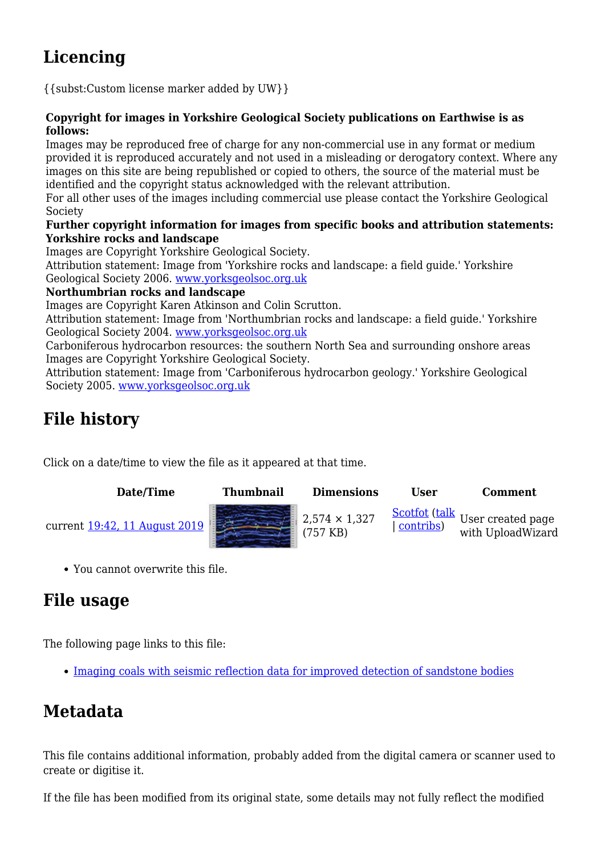# **Licencing**

{{subst:Custom license marker added by UW}}

#### **Copyright for images in Yorkshire Geological Society publications on Earthwise is as follows:**

Images may be reproduced free of charge for any non-commercial use in any format or medium provided it is reproduced accurately and not used in a misleading or derogatory context. Where any images on this site are being republished or copied to others, the source of the material must be identified and the copyright status acknowledged with the relevant attribution.

For all other uses of the images including commercial use please contact the Yorkshire Geological Society

#### **Further copyright information for images from specific books and attribution statements: Yorkshire rocks and landscape**

Images are Copyright Yorkshire Geological Society.

Attribution statement: Image from 'Yorkshire rocks and landscape: a field guide.' Yorkshire Geological Society 2006. [www.yorksgeolsoc.org.uk](http://www.yorksgeolsoc.org.uk)

#### **Northumbrian rocks and landscape**

Images are Copyright Karen Atkinson and Colin Scrutton.

Attribution statement: Image from 'Northumbrian rocks and landscape: a field guide.' Yorkshire Geological Society 2004. [www.yorksgeolsoc.org.uk](http://www.yorksgeolsoc.org.uk)

Carboniferous hydrocarbon resources: the southern North Sea and surrounding onshore areas Images are Copyright Yorkshire Geological Society.

Attribution statement: Image from 'Carboniferous hydrocarbon geology.' Yorkshire Geological Society 2005. [www.yorksgeolsoc.org.uk](http://www.yorksgeolsoc.org.uk)

# **File history**

Click on a date/time to view the file as it appeared at that time.

| Date/Time                     | <b>Thumbnail</b> | <b>Dimensions</b>                | <b>User</b> | Comment           |
|-------------------------------|------------------|----------------------------------|-------------|-------------------|
| current 19:42, 11 August 2019 |                  | $2,574 \times 1,327$<br>(757 KB) |             | with UploadWizard |

You cannot overwrite this file.

# **File usage**

The following page links to this file:

• [Imaging coals with seismic reflection data for improved detection of sandstone bodies](http://earthwise.bgs.ac.uk/index.php/Imaging_coals_with_seismic_reflection_data_for_improved_detection_of_sandstone_bodies)

# **Metadata**

This file contains additional information, probably added from the digital camera or scanner used to create or digitise it.

If the file has been modified from its original state, some details may not fully reflect the modified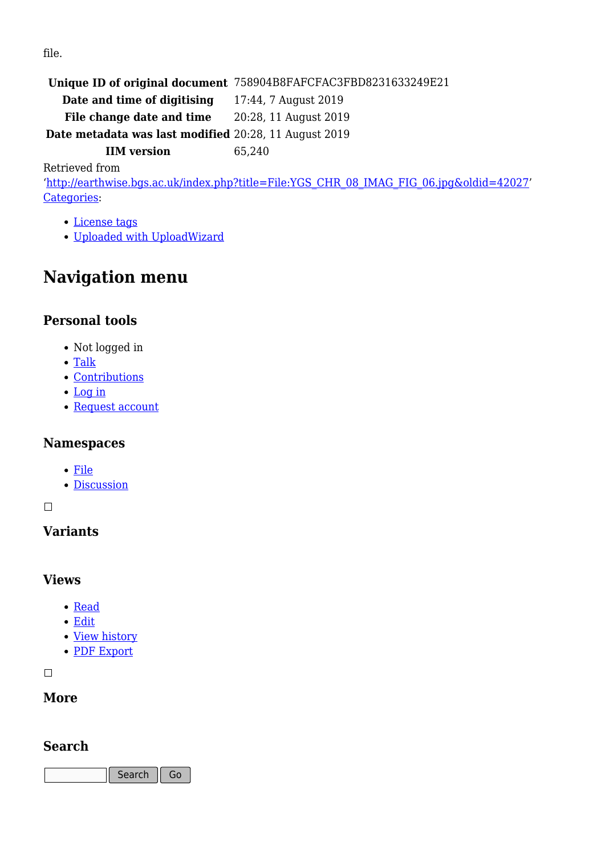file.

**Unique ID of original document** 758904B8FAFCFAC3FBD8231633249E21

**Date and time of digitising** 17:44, 7 August 2019

File change date and time 20:28, 11 August 2019

**Date metadata was last modified** 20:28, 11 August 2019

**IIM version** 65,240

Retrieved from

'[http://earthwise.bgs.ac.uk/index.php?title=File:YGS\\_CHR\\_08\\_IMAG\\_FIG\\_06.jpg&oldid=42027'](http://earthwise.bgs.ac.uk/index.php?title=File:YGS_CHR_08_IMAG_FIG_06.jpg&oldid=42027) [Categories:](http://earthwise.bgs.ac.uk/index.php/Special:Categories)

- [License tags](http://earthwise.bgs.ac.uk/index.php/Category:License_tags)
- [Uploaded with UploadWizard](http://earthwise.bgs.ac.uk/index.php/Category:Uploaded_with_UploadWizard)

# **Navigation menu**

### **Personal tools**

- Not logged in
- [Talk](http://earthwise.bgs.ac.uk/index.php/Special:MyTalk)
- [Contributions](http://earthwise.bgs.ac.uk/index.php/Special:MyContributions)
- [Log in](http://earthwise.bgs.ac.uk/index.php?title=Special:UserLogin&returnto=File%3AYGS+CHR+08+IMAG+FIG+06.jpg&returntoquery=action%3Dmpdf)
- [Request account](http://earthwise.bgs.ac.uk/index.php/Special:RequestAccount)

### **Namespaces**

- [File](http://earthwise.bgs.ac.uk/index.php/File:YGS_CHR_08_IMAG_FIG_06.jpg)
- [Discussion](http://earthwise.bgs.ac.uk/index.php?title=File_talk:YGS_CHR_08_IMAG_FIG_06.jpg&action=edit&redlink=1)

 $\Box$ 

# **Variants**

#### **Views**

- [Read](http://earthwise.bgs.ac.uk/index.php/File:YGS_CHR_08_IMAG_FIG_06.jpg)
- [Edit](http://earthwise.bgs.ac.uk/index.php?title=File:YGS_CHR_08_IMAG_FIG_06.jpg&action=edit)
- [View history](http://earthwise.bgs.ac.uk/index.php?title=File:YGS_CHR_08_IMAG_FIG_06.jpg&action=history)
- [PDF Export](http://earthwise.bgs.ac.uk/index.php?title=File:YGS_CHR_08_IMAG_FIG_06.jpg&action=mpdf)

 $\Box$ 

### **More**

## **Search**

Search | Go